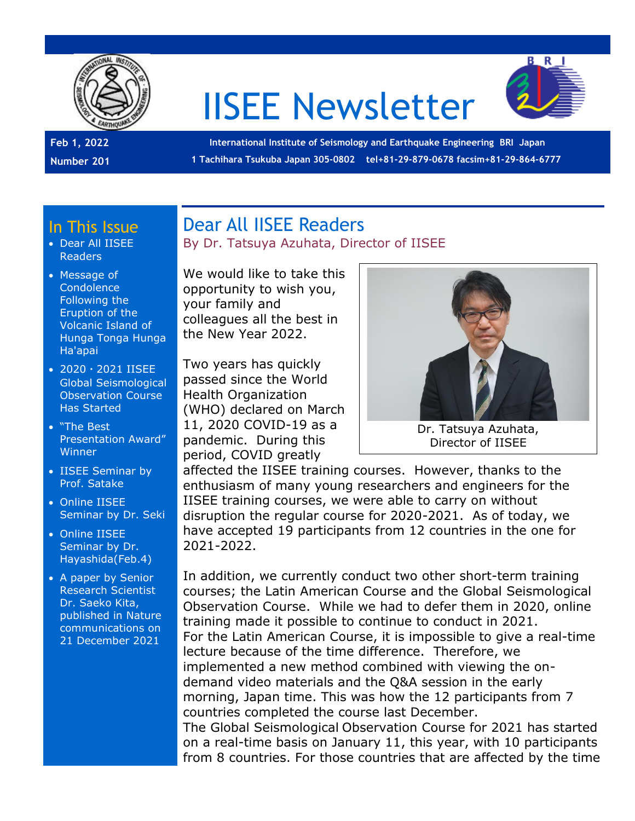

# IISEE Newsletter



**Feb 1, 2022 Number 201**

**International Institute of Seismology and Earthquake Engineering BRI Japan 1 Tachihara Tsukuba Japan 305-0802 tel+81-29-879-0678 facsim+81-29-864-6777**

#### In This Issue

- Dear All IISEE Readers
- Message of **Condolence** Following the Eruption of the Volcanic Island of Hunga Tonga Hunga Ha'apai
- 2020・2021 IISEE Global Seismological Observation Course Has Started
- "The Best Presentation Award" **Winner**
- IISEE Seminar by Prof. Satake
- Online IISEE Seminar by Dr. Seki
- Online IISEE Seminar by Dr. Hayashida(Feb.4)
- A paper by Senior Research Scientist Dr. Saeko Kita, published in Nature communications on 21 December 2021

#### Dear All IISEE Readers By Dr. Tatsuya Azuhata, Director of IISEE

We would like to take this opportunity to wish you, your family and colleagues all the best in the New Year 2022.

Two years has quickly passed since the World Health Organization (WHO) declared on March 11, 2020 COVID-19 as a pandemic. During this period, COVID greatly



Dr. Tatsuya Azuhata, Director of IISEE

affected the IISEE training courses. However, thanks to the enthusiasm of many young researchers and engineers for the IISEE training courses, we were able to carry on without disruption the regular course for 2020-2021. As of today, we have accepted 19 participants from 12 countries in the one for 2021-2022.

In addition, we currently conduct two other short-term training courses; the Latin American Course and the Global Seismological Observation Course. While we had to defer them in 2020, online training made it possible to continue to conduct in 2021. For the Latin American Course, it is impossible to give a real-time lecture because of the time difference. Therefore, we implemented a new method combined with viewing the ondemand video materials and the Q&A session in the early morning, Japan time. This was how the 12 participants from 7 countries completed the course last December. The Global Seismological Observation Course for 2021 has started

on a real-time basis on January 11, this year, with 10 participants from 8 countries. For those countries that are affected by the time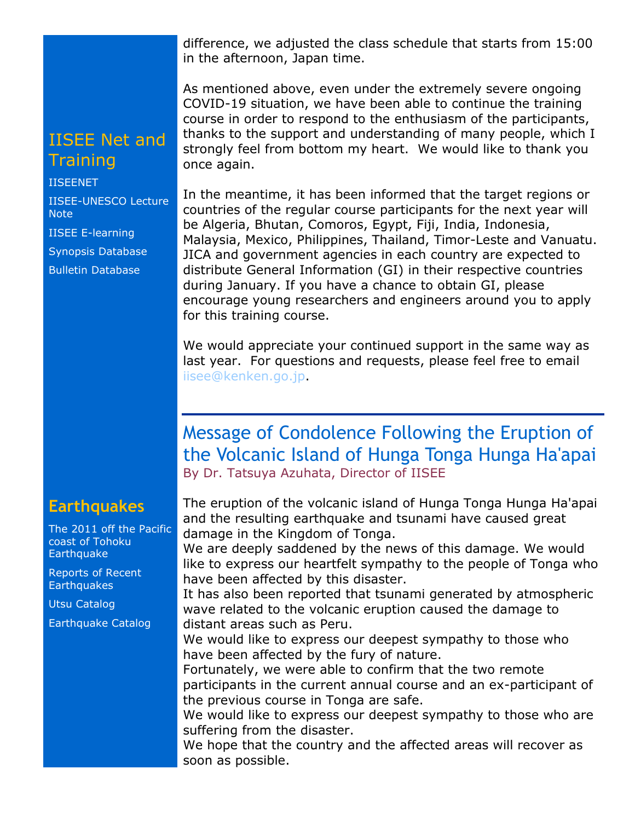difference, we adjusted the class schedule that starts from 15:00 in the afternoon, Japan time.

As mentioned above, even under the extremely severe ongoing COVID-19 situation, we have been able to continue the training course in order to respond to the enthusiasm of the participants, thanks to the support and understanding of many people, which I strongly feel from bottom my heart. We would like to thank you once again.

In the meantime, it has been informed that the target regions or countries of the regular course participants for the next year will be Algeria, Bhutan, Comoros, Egypt, Fiji, India, Indonesia, Malaysia, Mexico, Philippines, Thailand, Timor-Leste and Vanuatu. JICA and government agencies in each country are expected to distribute General Information (GI) in their respective countries during January. If you have a chance to obtain GI, please encourage young researchers and engineers around you to apply for this training course.

We would appreciate your continued support in the same way as last year. For questions and requests, please feel free to email [iisee@kenken.go.jp.](mailto:iisee@kenken.go.jp)

#### Message of Condolence Following the Eruption of the Volcanic Island of Hunga Tonga Hunga Ha'apai By Dr. Tatsuya Azuhata, Director of IISEE

The eruption of the volcanic island of Hunga Tonga Hunga Ha'apai and the resulting earthquake and tsunami have caused great damage in the Kingdom of Tonga.

We are deeply saddened by the news of this damage. We would like to express our heartfelt sympathy to the people of Tonga who have been affected by this disaster.

It has also been reported that tsunami generated by atmospheric wave related to the volcanic eruption caused the damage to distant areas such as Peru.

We would like to express our deepest sympathy to those who have been affected by the fury of nature.

Fortunately, we were able to confirm that the two remote participants in the current annual course and an ex-participant of the previous course in Tonga are safe.

We would like to express our deepest sympathy to those who are suffering from the disaster.

We hope that the country and the affected areas will recover as soon as possible.

## IISEE Net and **Training**

[IISEENET](http://iisee.kenken.go.jp/net/) [IISEE-UNESCO Lecture](http://iisee/lna/)  [Note](http://iisee/lna/) [IISEE E-learning](http://iisee/el/) [Synopsis Database](http://iisee/syndb/)

[Bulletin Database](http://iisee/bltndb/)

#### **Earthquakes**

[The 2011 off the Pacific](http://iisee/special2/20110311tohoku.htm)  [coast of Tohoku](http://iisee/special2/20110311tohoku.htm)  **[Earthquake](http://iisee/special2/20110311tohoku.htm)** 

[Reports of Recent](http://iisee/quakes.htm)  **[Earthquakes](http://iisee/quakes.htm)** 

[Utsu Catalog](http://iisee/utsu/index_eng.html)

[Earthquake Catalog](http://iisee/eqcat/Top_page_en.htm)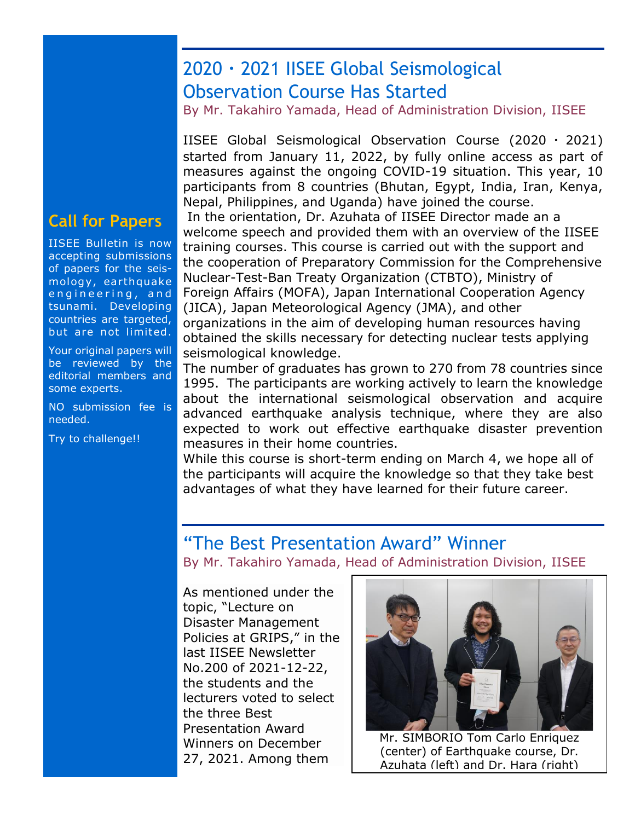## 2020・2021 IISEE Global Seismological Observation Course Has Started

By Mr. Takahiro Yamada, Head of Administration Division, IISEE

IISEE Global Seismological Observation Course (2020  $\cdot$  2021) started from January 11, 2022, by fully online access as part of measures against the ongoing COVID-19 situation. This year, 10 participants from 8 countries (Bhutan, Egypt, India, Iran, Kenya, Nepal, Philippines, and Uganda) have joined the course. In the orientation, Dr. Azuhata of IISEE Director made an a welcome speech and provided them with an overview of the IISEE training courses. This course is carried out with the support and the cooperation of Preparatory Commission for the Comprehensive Nuclear-Test-Ban Treaty Organization (CTBTO), Ministry of Foreign Affairs (MOFA), Japan International Cooperation Agency (JICA), Japan Meteorological Agency (JMA), and other organizations in the aim of developing human resources having obtained the skills necessary for detecting nuclear tests applying seismological knowledge.

The number of graduates has grown to 270 from 78 countries since 1995. The participants are working actively to learn the knowledge about the international seismological observation and acquire advanced earthquake analysis technique, where they are also expected to work out effective earthquake disaster prevention measures in their home countries.

While this course is short-term ending on March 4, we hope all of the participants will acquire the knowledge so that they take best advantages of what they have learned for their future career.

#### "The Best Presentation Award" Winner

By Mr. Takahiro Yamada, Head of Administration Division, IISEE

As mentioned under the topic, "Lecture on Disaster Management Policies at GRIPS," in the last IISEE Newsletter No.200 of 2021-12-22, the students and the lecturers voted to select the three Best Presentation Award Winners on December 27, 2021. Among them



Mr. SIMBORIO Tom Carlo Enriquez (center) of Earthquake course, Dr. Azuhata (left) and Dr. Hara (right)

## **Call for Papers**

IISEE Bulletin is now accepting submissions of papers for the seismology, earthquake engineering, and tsunami. Developing countries are targeted, but are not limited.

Your original papers will be reviewed by the editorial members and some experts.

NO submission fee is needed.

Try to challenge!!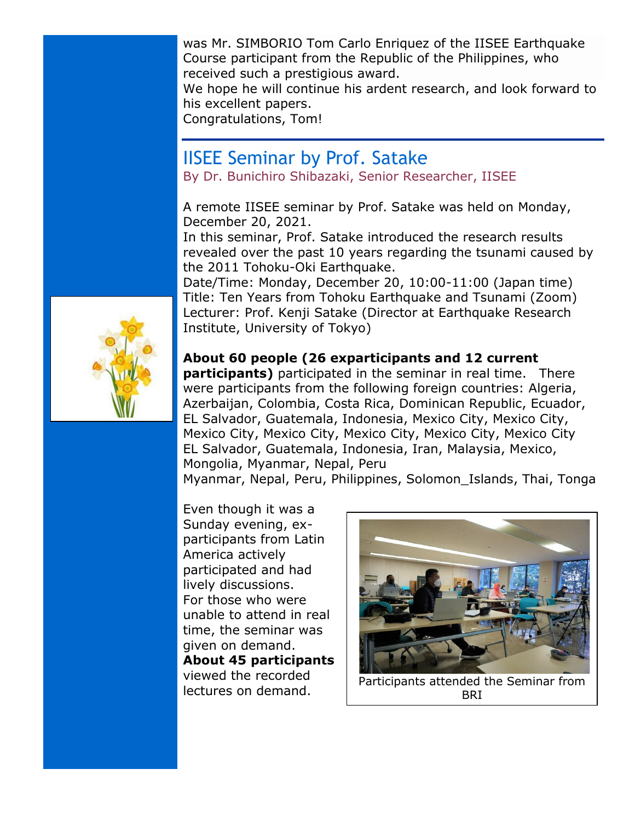was Mr. SIMBORIO Tom Carlo Enriquez of the IISEE Earthquake Course participant from the Republic of the Philippines, who received such a prestigious award.

We hope he will continue his ardent research, and look forward to his excellent papers.

Congratulations, Tom!

## IISEE Seminar by Prof. Satake

By Dr. Bunichiro Shibazaki, Senior Researcher, IISEE

A remote IISEE seminar by Prof. Satake was held on Monday, December 20, 2021.

In this seminar, Prof. Satake introduced the research results revealed over the past 10 years regarding the tsunami caused by the 2011 Tohoku-Oki Earthquake.

Date/Time: Monday, December 20, 10:00-11:00 (Japan time) Title: Ten Years from Tohoku Earthquake and Tsunami (Zoom) Lecturer: Prof. Kenji Satake (Director at Earthquake Research Institute, University of Tokyo)

#### **About 60 people (26 exparticipants and 12 current**

**participants)** participated in the seminar in real time. There were participants from the following foreign countries: Algeria, Azerbaijan, Colombia, Costa Rica, Dominican Republic, Ecuador, EL Salvador, Guatemala, Indonesia, Mexico City, Mexico City, Mexico City, Mexico City, Mexico City, Mexico City, Mexico City EL Salvador, Guatemala, Indonesia, Iran, Malaysia, Mexico, Mongolia, Myanmar, Nepal, Peru

Myanmar, Nepal, Peru, Philippines, Solomon\_Islands, Thai, Tonga

Even though it was a Sunday evening, exparticipants from Latin America actively participated and had lively discussions. For those who were unable to attend in real time, the seminar was given on demand. **About 45 participants** viewed the recorded lectures on demand.



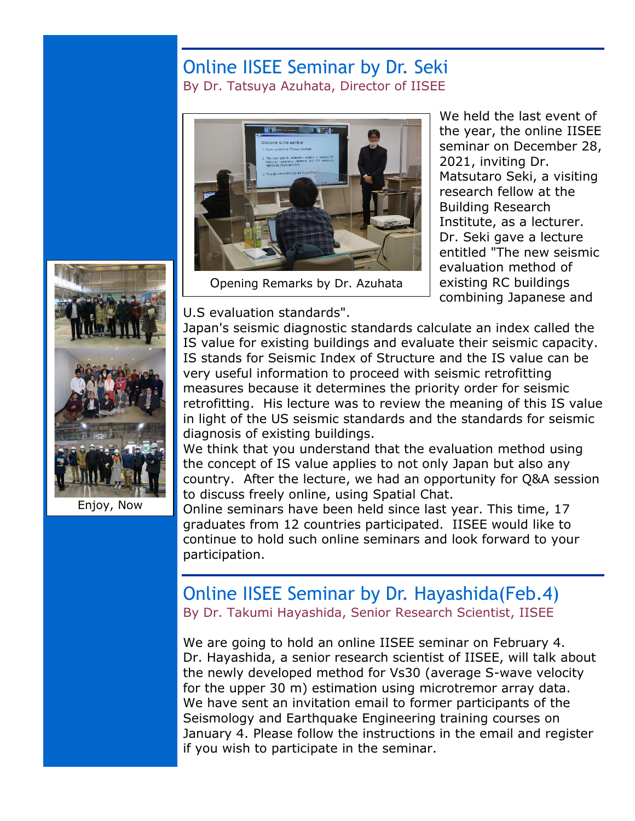#### Online IISEE Seminar by Dr. Seki By Dr. Tatsuya Azuhata, Director of IISEE



Opening Remarks by Dr. Azuhata

We held the last event of the year, the online IISEE seminar on December 28, 2021, inviting Dr. Matsutaro Seki, a visiting research fellow at the Building Research Institute, as a lecturer. Dr. Seki gave a lecture entitled "The new seismic evaluation method of existing RC buildings combining Japanese and



Enjoy, Now

U.S evaluation standards".

Japan's seismic diagnostic standards calculate an index called the IS value for existing buildings and evaluate their seismic capacity. IS stands for Seismic Index of Structure and the IS value can be very useful information to proceed with seismic retrofitting measures because it determines the priority order for seismic retrofitting. His lecture was to review the meaning of this IS value in light of the US seismic standards and the standards for seismic diagnosis of existing buildings.

We think that you understand that the evaluation method using the concept of IS value applies to not only Japan but also any country. After the lecture, we had an opportunity for Q&A session to discuss freely online, using Spatial Chat.

Online seminars have been held since last year. This time, 17 graduates from 12 countries participated. IISEE would like to continue to hold such online seminars and look forward to your participation.

#### Online IISEE Seminar by Dr. Hayashida(Feb.4) By Dr. Takumi Hayashida, Senior Research Scientist, IISEE

We are going to hold an online IISEE seminar on February 4. Dr. Hayashida, a senior research scientist of IISEE, will talk about the newly developed method for Vs30 (average S-wave velocity for the upper 30 m) estimation using microtremor array data. We have sent an invitation email to former participants of the Seismology and Earthquake Engineering training courses on January 4. Please follow the instructions in the email and register if you wish to participate in the seminar.